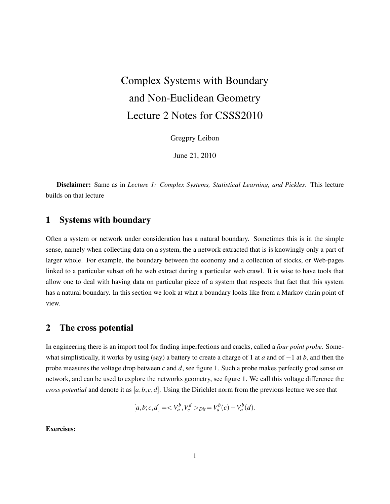# Complex Systems with Boundary and Non-Euclidean Geometry Lecture 2 Notes for CSSS2010

Gregpry Leibon

June 21, 2010

Disclaimer: Same as in *Lecture 1: Complex Systems, Statistical Learning, and Pickles*. This lecture builds on that lecture

## 1 Systems with boundary

Often a system or network under consideration has a natural boundary. Sometimes this is in the simple sense, namely when collecting data on a system, the a network extracted that is is knowingly only a part of larger whole. For example, the boundary between the economy and a collection of stocks, or Web-pages linked to a particular subset oft he web extract during a particular web crawl. It is wise to have tools that allow one to deal with having data on particular piece of a system that respects that fact that this system has a natural boundary. In this section we look at what a boundary looks like from a Markov chain point of view.

### 2 The cross potential

In engineering there is an import tool for finding imperfections and cracks, called a *four point probe*. Somewhat simplistically, it works by using (say) a battery to create a charge of 1 at *a* and of −1 at *b*, and then the probe measures the voltage drop between *c* and *d*, see figure 1. Such a probe makes perfectly good sense on network, and can be used to explore the networks geometry, see figure 1. We call this voltage difference the *cross potential* and denote it as  $[a, b; c, d]$ . Using the Dirichlet norm from the previous lecture we see that

$$
[a,b;c,d] = _{Dir} = V_a^b(c) - V_a^b(d).
$$

Exercises: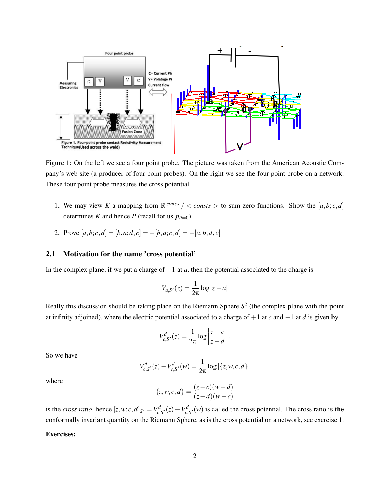

Figure 1: On the left we see a four point probe. The picture was taken from the American Acoustic Company's web site (a producer of four point probes). On the right we see the four point probe on a network. These four point probe measures the cross potential.

- 1. We may view *K* a mapping from  $\mathbb{R}^{|states|}/\langle \text{consts} \rangle$  to sum zero functions. Show the [a, b; c, d] determines *K* and hence *P* (recall for us  $p_{ii=0}$ ).
- 2. Prove  $[a,b;c,d] = [b,a;d,c] = -[b,a;c,d] = -[a,b;d,c]$

#### 2.1 Motivation for the name 'cross potential'

In the complex plane, if we put a charge of  $+1$  at  $a$ , then the potential associated to the charge is

$$
V_{a,S^2}(z) = \frac{1}{2\pi} \log|z - a|
$$

Really this discussion should be taking place on the Riemann Sphere  $S<sup>2</sup>$  (the complex plane with the point at infinity adjoined), where the electric potential associated to a charge of +1 at *c* and −1 at *d* is given by

$$
V_{c,S^2}^d(z) = \frac{1}{2\pi} \log \left| \frac{z-c}{z-d} \right|.
$$

So we have

$$
V_{c,S^2}^d(z) - V_{c,S^2}^d(w) = \frac{1}{2\pi} \log |\{z, w, c, d\}|
$$

where

$$
\{z, w, c, d\} = \frac{(z - c)(w - d)}{(z - d)(w - c)}
$$

is the *cross ratio*, hence  $[z, w; c, d]_{S^2} = V_c^d$  $c_1C^d$ <sub>*c*</sub>,*S*<sup>2</sup>(*z*) − *V*<sup>*d*</sup><sub>*c*</sub>,  $c_{c, S^2}(w)$  is called the cross potential. The cross ratio is the conformally invariant quantity on the Riemann Sphere, as is the cross potential on a network, see exercise 1.

#### Exercises: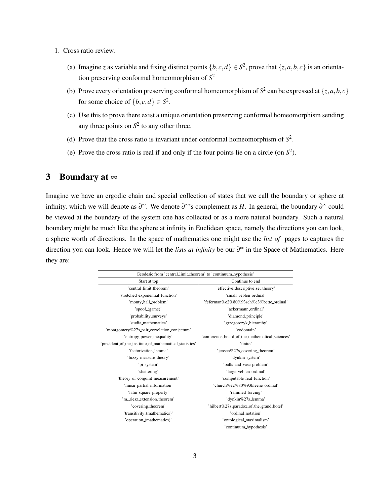- 1. Cross ratio review.
	- (a) Imagine *z* as variable and fixing distinct points  $\{b, c, d\} \in S^2$ , prove that  $\{z, a, b, c\}$  is an orientation preserving conformal homeomorphism of *S* 2
	- (b) Prove every orientation preserving conformal homeomorphism of  $S^2$  can be expressed at  $\{z, a, b, c\}$ for some choice of  $\{b, c, d\} \in S^2$ .
	- (c) Use this to prove there exist a unique orientation preserving conformal homeomorphism sending any three points on  $S^2$  to any other three.
	- (d) Prove that the cross ratio is invariant under conformal homeomorphism of  $S^2$ .
	- (e) Prove the cross ratio is real if and only if the four points lie on a circle (on  $S^2$ ).

# 3 Boundary at  $\infty$

Imagine we have an ergodic chain and special collection of states that we call the boundary or sphere at infinity, which we will denote as  $\partial^{\infty}$ . We denote  $\partial^{\infty}$ 's complement as *H*. In general, the boundary  $\partial^{\infty}$  could be viewed at the boundary of the system one has collected or as a more natural boundary. Such a natural boundary might be much like the sphere at infinity in Euclidean space, namely the directions you can look, a sphere worth of directions. In the space of mathematics one might use the *list of* pages to captures the direction you can look. Hence we will let the *lists at infinity* be our ∂ <sup>∞</sup> in the Space of Mathematics. Here they are:

| Geodesic from 'central_limit_theorem' to 'continuum_hypothesis' |                                                 |
|-----------------------------------------------------------------|-------------------------------------------------|
| Start at top                                                    | Continue to end                                 |
| 'central limit theorem'                                         | 'effective_descriptive_set_theory'              |
| 'stretched_exponential_function'                                | 'small veblen ordinal'                          |
| 'monty_hall_problem'                                            | 'feferman%e2%80%93sch%c3%bctte_ordinal'         |
| 'spoof_(game)'                                                  | 'ackermann_ordinal'                             |
| 'probability_surveys'                                           | 'diamond_principle'                             |
| 'studia_mathematica'                                            | 'grzegorczyk_hierarchy'                         |
| 'montgomery%27s_pair_correlation_conjecture'                    | 'codomain'                                      |
| 'entropy_power_inequality'                                      | 'conference_board_of_the_mathematical_sciences' |
| 'president_of_the_institute_of_mathematical_statistics'         | 'finite'                                        |
| 'factorization lemma'                                           | 'jensen%27s_covering_theorem'                   |
| 'fuzzy_measure_theory'                                          | 'dynkin_system'                                 |
| 'pi_system'                                                     | 'balls_and_vase_problem'                        |
| 'shattering'                                                    | 'large_veblen_ordinal'                          |
| 'theory_of_conjoint_measurement'                                | 'computable_real_function'                      |
| 'linear_partial_information'                                    | 'church%e2%80%93kleene ordinal'                 |
| 'latin_square_property'                                         | 'ramified_forcing'                              |
| 'm._riesz_extension_theorem'                                    | 'dynkin%27s_lemma'                              |
| 'covering_theorem'                                              | 'hilbert%27s_paradox_of_the_grand_hotel'        |
| 'transitivity_(mathematics)'                                    | 'ordinal_notation'                              |
| 'operation_(mathematics)'                                       | 'ontological_maximalism'                        |
|                                                                 | 'continuum_hypothesis'                          |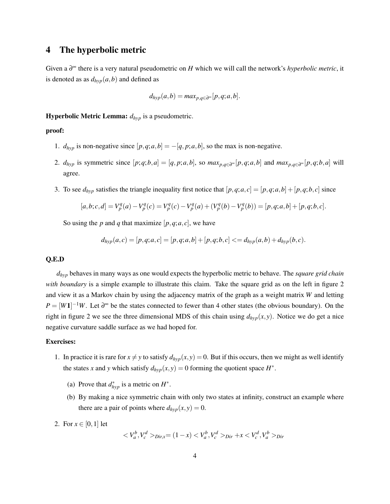# 4 The hyperbolic metric

Given a ∂ <sup>∞</sup> there is a very natural pseudometric on *H* which we will call the network's *hyperbolic metric*, it is denoted as as  $d_{hyp}(a, b)$  and defined as

$$
d_{hyp}(a,b) = max_{p,q \in \partial^{\infty}}[p,q;a,b].
$$

Hyperbolic Metric Lemma: *dhyp* is a pseudometric.

#### proof:

- 1.  $d_{hyp}$  is non-negative since  $[p,q;a,b] = -[q,p;a,b]$ , so the max is non-negative.
- 2.  $d_{hyp}$  is symmetric since  $[p;q;b,a] = [q,p;a,b]$ , so  $max_{p,q \in \partial^{\infty}}[p,q;a,b]$  and  $max_{p,q \in \partial^{\infty}}[p,q;b,a]$  will agree.
- 3. To see  $d_{hyp}$  satisfies the triangle inequality first notice that  $[p,q;a,c] = [p,q;a,b] + [p,q;b,c]$  since

$$
[a,b;c,d]=V_p^q(a)-V_p^q(c)=V_p^q(c)-V_p^q(a)+(V_p^q(b)-V_p^q(b))=[p,q;a,b]+[p,q;b,c].
$$

So using the *p* and *q* that maximize  $[p,q;a,c]$ , we have

$$
d_{hyp}(a,c) = [p,q;a,c] = [p,q;a,b] + [p,q;b,c] \leq d_{hyp}(a,b) + d_{hyp}(b,c).
$$

#### Q.E.D

*dhyp* behaves in many ways as one would expects the hyperbolic metric to behave. The *square grid chain with boundary* is a simple example to illustrate this claim. Take the square grid as on the left in figure 2 and view it as a Markov chain by using the adjacency matrix of the graph as a weight matrix *W* and letting  $P = [W1]^{-1}W$ . Let  $\partial^{\infty}$  be the states connected to fewer than 4 other states (the obvious boundary). On the right in figure 2 we see the three dimensional MDS of this chain using  $d_{hyp}(x, y)$ . Notice we do get a nice negative curvature saddle surface as we had hoped for.

#### Exercises:

- 1. In practice it is rare for  $x \neq y$  to satisfy  $d_{hyp}(x, y) = 0$ . But if this occurs, then we might as well identify the states *x* and *y* which satisfy  $d_{hyp}(x, y) = 0$  forming the quotient space  $H^*$ .
	- (a) Prove that  $d_{hyp}^*$  is a metric on  $H^*$ .
	- (b) By making a nice symmetric chain with only two states at infinity, construct an example where there are a pair of points where  $d_{hyp}(x, y) = 0$ .
- 2. For  $x \in [0,1]$  let

$$
\langle V_a^b, V_c^d \rangle_{Dir, x} = (1 - x) \langle V_a^b, V_c^d \rangle_{Dir} + x \langle V_c^d, V_a^b \rangle_{Dir}
$$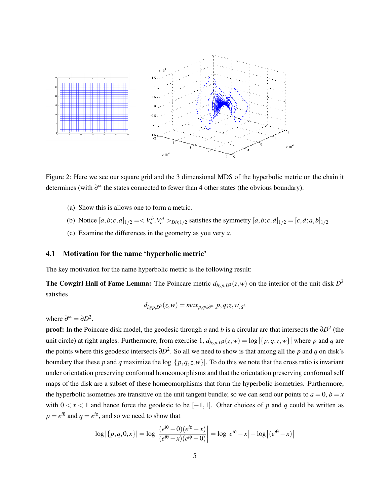

Figure 2: Here we see our square grid and the 3 dimensional MDS of the hyperbolic metric on the chain it determines (with ∂ <sup>∞</sup> the states connected to fewer than 4 other states (the obvious boundary).

- (a) Show this is allows one to form a metric.
- (b) Notice  $[a,b;c,d]_{1/2} = \langle V_a^b, V_c^d \rangle_{Dir,1/2}$  satisfies the symmetry  $[a,b;c,d]_{1/2} = [c,d;a,b]_{1/2}$
- (c) Examine the differences in the geometry as you very *x*.

#### 4.1 Motivation for the name 'hyperbolic metric'

The key motivation for the name hyperbolic metric is the following result:

**The Cowgirl Hall of Fame Lemma:** The Poincare metric  $d_{hyp,D^2}(z,w)$  on the interior of the unit disk  $D^2$ satisfies

$$
d_{hyp,D^2}(z,w) = max_{p,q \in \partial^{\infty}}[p,q;z,w]_{S^2}
$$

where  $\partial^{\infty} = \partial D^2$ .

**proof:** In the Poincare disk model, the geodesic through *a* and *b* is a circular arc that intersects the  $\partial D^2$  (the unit circle) at right angles. Furthermore, from exercise  $1$ ,  $d_{hvp,D^2}(z,w) = \log |\{p,q,z,w\}|$  where *p* and *q* are the points where this geodesic intersects ∂*D* 2 . So all we need to show is that among all the *p* and *q* on disk's boundary that these *p* and *q* maximize the  $\log |\{p,q,z,w\}|$ . To do this we note that the cross ratio is invariant under orientation preserving conformal homeomorphisms and that the orientation preserving conformal self maps of the disk are a subset of these homeomorphisms that form the hyperbolic isometries. Furthermore, the hyperbolic isometries are transitive on the unit tangent bundle; so we can send our points to  $a = 0, b = x$ with  $0 < x < 1$  and hence force the geodesic to be  $[-1,1]$ . Other choices of p and q could be written as  $p = e^{i\theta}$  and  $q = e^{i\phi}$ , and so we need to show that

$$
\log |\{p,q,0,x\}| = \log \left| \frac{(e^{i\theta} - 0)(e^{i\phi} - x)}{(e^{i\theta} - x)(e^{i\phi} - 0)} \right| = \log |e^{i\phi} - x| - \log |(e^{i\theta} - x)|
$$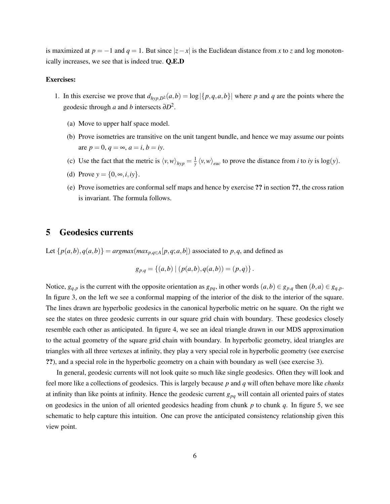is maximized at  $p = -1$  and  $q = 1$ . But since  $|z - x|$  is the Euclidean distance from *x* to *z* and log monotonically increases, we see that is indeed true. Q.E.D

#### Exercises:

- 1. In this exercise we prove that  $d_{hyp,D^2}(a,b) = \log |\{p,q,a,b\}|$  where p and q are the points where the geodesic through *a* and *b* intersects  $\partial D^2$ .
	- (a) Move to upper half space model.
	- (b) Prove isometries are transitive on the unit tangent bundle, and hence we may assume our points are  $p = 0$ ,  $q = \infty$ ,  $a = i$ ,  $b = iy$ .
	- (c) Use the fact that the metric is  $\langle v, w \rangle_{hyp} = \frac{1}{y} \langle v, w \rangle_{euc}$  to prove the distance from *i* to *iy* is log(*y*).
	- (d) Prove  $y = \{0, \infty, i, iy\}.$
	- (e) Prove isometries are conformal self maps and hence by exercise ?? in section ??, the cross ration is invariant. The formula follows.

## 5 Geodesics currents

Let  $\{p(a,b), q(a,b)\} = argmax(max_{p,q \in A}[p,q;a,b])$  associated to p,q, and defined as

$$
g_{p,q} = \{(a,b) \mid (p(a,b), q(a,b)) = (p,q)\}.
$$

Notice,  $g_{q,p}$  is the current with the opposite orientation as  $g_{pq}$ , in other words  $(a,b) \in g_{p,q}$  then  $(b,a) \in g_{q,p}$ . In figure 3, on the left we see a conformal mapping of the interior of the disk to the interior of the square. The lines drawn are hyperbolic geodesics in the canonical hyperbolic metric on he square. On the right we see the states on three geodesic currents in our square grid chain with boundary. These geodesics closely resemble each other as anticipated. In figure 4, we see an ideal triangle drawn in our MDS approximation to the actual geometry of the square grid chain with boundary. In hyperbolic geometry, ideal triangles are triangles with all three vertexes at infinity, they play a very special role in hyperbolic geometry (see exercise ??), and a special role in the hyperbolic geometry on a chain with boundary as well (see exercise 3).

In general, geodesic currents will not look quite so much like single geodesics. Often they will look and feel more like a collections of geodesics. This is largely because *p* and *q* will often behave more like *chunks* at infinity than like points at infinity. Hence the geodesic current *gpq* will contain all oriented pairs of states on geodesics in the union of all oriented geodesics heading from chunk *p* to chunk *q*. In figure 5, we see schematic to help capture this intuition. One can prove the anticipated consistency relationship given this view point.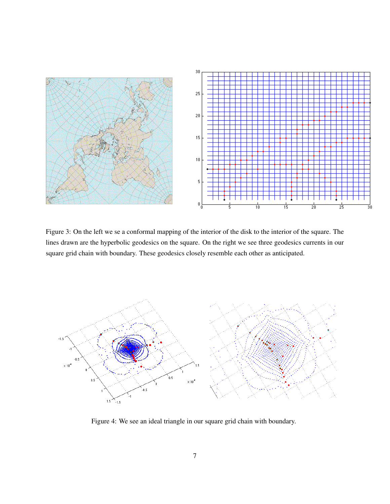

Figure 3: On the left we se a conformal mapping of the interior of the disk to the interior of the square. The lines drawn are the hyperbolic geodesics on the square. On the right we see three geodesics currents in our square grid chain with boundary. These geodesics closely resemble each other as anticipated.



Figure 4: We see an ideal triangle in our square grid chain with boundary.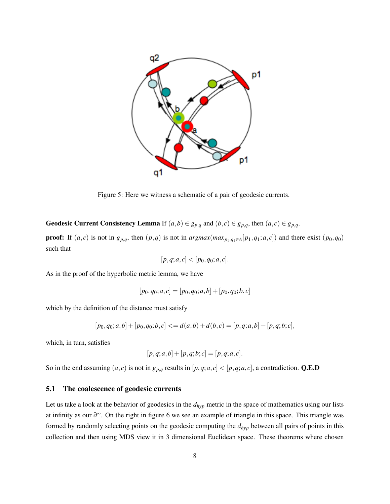

Figure 5: Here we witness a schematic of a pair of geodesic currents.

Geodesic Current Consistency Lemma If  $(a,b) \in g_{p,q}$  and  $(b,c) \in g_{p,q}$ , then  $(a,c) \in g_{p,q}$ .

**proof:** If  $(a, c)$  is not in  $g_{p,q}$ , then  $(p,q)$  is not in  $argmax(max_{p_1,q_1 \in A}[p_1,q_1;a,c])$  and there exist  $(p_0,q_0)$ such that

$$
[p,q;a,c] < [p_0,q_0;a,c].
$$

As in the proof of the hyperbolic metric lemma, we have

$$
[p_0, q_0; a, c] = [p_0, q_0; a, b] + [p_0, q_0; b, c]
$$

which by the definition of the distance must satisfy

$$
[p_0,q_0;a,b] + [p_0,q_0;b,c] \leq d(a,b) + d(b,c) = [p,q;a,b] + [p,q;b;c],
$$

which, in turn, satisfies

$$
[p,q;a,b] + [p,q;b;c] = [p,q;a,c].
$$

So in the end assuming  $(a, c)$  is not in  $g_{p,q}$  results in  $[p,q;a,c] < [p,q;a,c]$ , a contradiction. Q.E.D

#### 5.1 The coalescence of geodesic currents

Let us take a look at the behavior of geodesics in the *dhyp* metric in the space of mathematics using our lists at infinity as our ∂ <sup>∞</sup>. On the right in figure 6 we see an example of triangle in this space. This triangle was formed by randomly selecting points on the geodesic computing the *dhyp* between all pairs of points in this collection and then using MDS view it in 3 dimensional Euclidean space. These theorems where chosen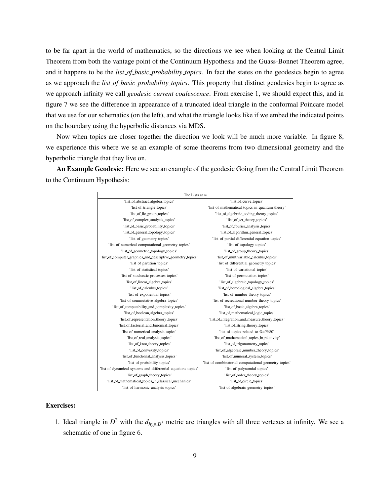to be far apart in the world of mathematics, so the directions we see when looking at the Central Limit Theorem from both the vantage point of the Continuum Hypothesis and the Guass-Bonnet Theorem agree, and it happens to be the *list of basic probability topics*. In fact the states on the geodesics begin to agree as we approach the *list of basic probability topics*. This property that distinct geodesics begin to agree as we approach infinity we call *geodesic current coalescence*. From exercise 1, we should expect this, and in figure 7 we see the difference in appearance of a truncated ideal triangle in the conformal Poincare model that we use for our schematics (on the left), and what the triangle looks like if we embed the indicated points on the boundary using the hyperbolic distances via MDS.

Now when topics are closer together the direction we look will be much more variable. In figure 8, we experience this where we se an example of some theorems from two dimensional geometry and the hyperbolic triangle that they live on.

An Example Geodesic: Here we see an example of the geodesic Going from the Central Limit Theorem to the Continuum Hypothesis:

| The Lists at $\infty$                                         |                                                       |  |
|---------------------------------------------------------------|-------------------------------------------------------|--|
| 'list_of_abstract_algebra_topics'                             | 'list_of_curve_topics'                                |  |
| 'list_of_triangle_topics'                                     | 'list_of_mathematical_topics_in_quantum_theory'       |  |
| 'list_of_lie_group_topics'                                    | 'list_of_algebraic_coding_theory_topics'              |  |
| 'list_of_complex_analysis_topics'                             | 'list_of_set_theory_topics'                           |  |
| 'list_of_basic_probability_topics'                            | 'list_of_fourier_analysis_topics'                     |  |
| 'list_of_general_topology_topics'                             | 'list_of_algorithm_general_topics'                    |  |
| 'list_of_geometry_topics'                                     | 'list_of_partial_differential_equation_topics'        |  |
| 'list_of_numerical_computational_geometry_topics'             | 'list_of_topology_topics'                             |  |
| 'list_of_geometric_topology_topics'                           | 'list_of_group_theory_topics'                         |  |
| 'list_of_computer_graphics_and_descriptive_geometry_topics'   | 'list_of_multivariable_calculus_topics'               |  |
| 'list_of_partition_topics'                                    | 'list_of_differential_geometry_topics'                |  |
| 'list_of_statistical_topics'                                  | 'list_of_variational_topics'                          |  |
| 'list_of_stochastic_processes_topics'                         | 'list_of_permutation_topics'                          |  |
| 'list_of_linear_algebra_topics'                               | 'list_of_algebraic_topology_topics'                   |  |
| 'list_of_calculus_topics'                                     | 'list_of_homological_algebra_topics'                  |  |
| 'list_of_exponential_topics'                                  | 'list_of_number_theory_topics'                        |  |
| 'list_of_commutative_algebra_topics'                          | 'list_of_recreational_number_theory_topics'           |  |
| 'list_of_computability_and_complexity_topics'                 | 'list_of_basic_algebra_topics'                        |  |
| 'list_of_boolean_algebra_topics'                              | 'list_of_mathematical_logic_topics'                   |  |
| 'list_of_representation_theory_topics'                        | 'list_of_integration_and_measure_theory_topics'       |  |
| 'list_of_factorial_and_binomial_topics'                       | 'list_of_string_theory_topics'                        |  |
| 'list_of_numerical_analysis_topics'                           | 'list_of_topics_related_to_%cf%80'                    |  |
| 'list_of_real_analysis_topics'                                | 'list_of_mathematical_topics_in_relativity'           |  |
| 'list_of_knot_theory_topics'                                  | 'list_of_trigonometry_topics'                         |  |
| 'list_of_convexity_topics'                                    | 'list_of_algebraic_number_theory_topics'              |  |
| 'list_of_functional_analysis_topics'                          | 'list_of_numeral_system_topics'                       |  |
| 'list_of_probability_topics'                                  | 'list_of_combinatorial_computational_geometry_topics' |  |
| 'list_of_dynamical_systems_and_differential_equations_topics' | 'list_of_polynomial_topics'                           |  |
| 'list_of_graph_theory_topics'                                 | 'list_of_order_theory_topics'                         |  |
| 'list_of_mathematical_topics_in_classical_mechanics'          | 'list_of_circle_topics'                               |  |
| 'list_of_harmonic_analysis_topics'                            | 'list_of_algebraic_geometry_topics'                   |  |

#### Exercises:

1. Ideal triangle in  $D^2$  with the  $d_{hyp,D^2}$  metric are triangles with all three vertexes at infinity. We see a schematic of one in figure 6.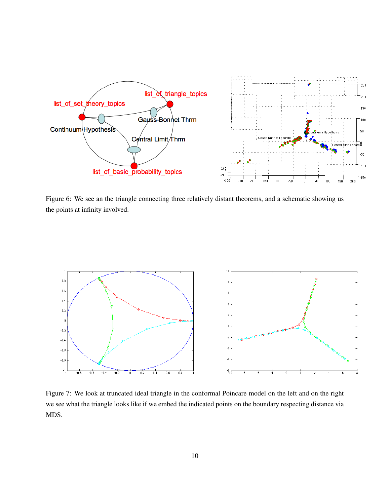

Figure 6: We see an the triangle connecting three relatively distant theorems, and a schematic showing us the points at infinity involved.



Figure 7: We look at truncated ideal triangle in the conformal Poincare model on the left and on the right we see what the triangle looks like if we embed the indicated points on the boundary respecting distance via MDS.